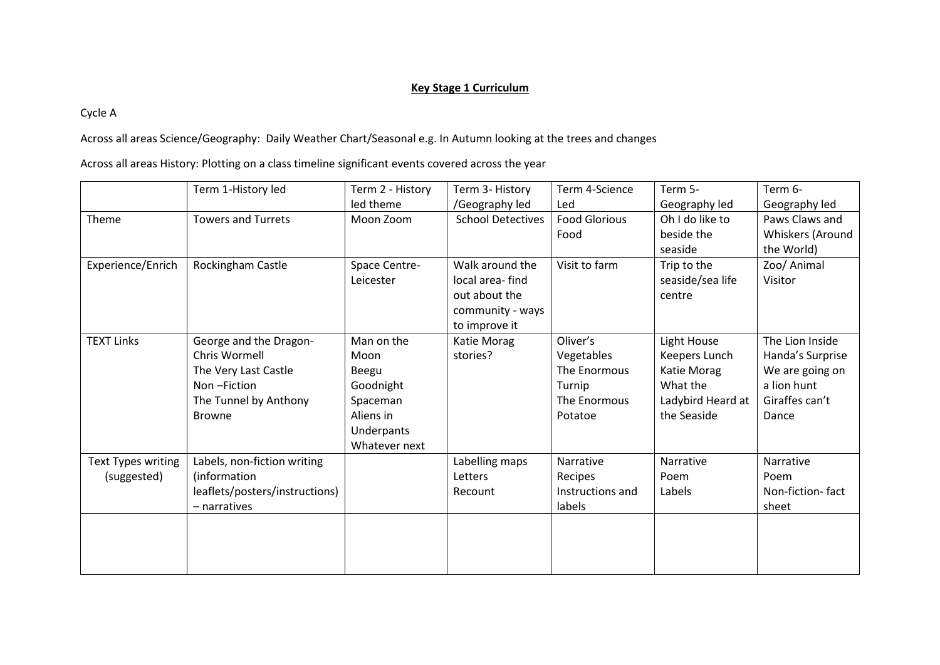## **Key Stage 1 Curriculum**

Cycle A

Across all areas Science/Geography: Daily Weather Chart/Seasonal e.g. In Autumn looking at the trees and changes

Across all areas History: Plotting on a class timeline significant events covered across the year

|                    | Term 1-History led             | Term 2 - History | Term 3- History          | Term 4-Science       | Term 5-           | Term 6-          |
|--------------------|--------------------------------|------------------|--------------------------|----------------------|-------------------|------------------|
|                    |                                | led theme        | /Geography led           | Led                  | Geography led     | Geography led    |
| Theme              | <b>Towers and Turrets</b>      | Moon Zoom        | <b>School Detectives</b> | <b>Food Glorious</b> | Oh I do like to   | Paws Claws and   |
|                    |                                |                  |                          | Food                 | beside the        | Whiskers (Around |
|                    |                                |                  |                          |                      | seaside           | the World)       |
| Experience/Enrich  | Rockingham Castle              | Space Centre-    | Walk around the          | Visit to farm        | Trip to the       | Zoo/ Animal      |
|                    |                                | Leicester        | local area-find          |                      | seaside/sea life  | Visitor          |
|                    |                                |                  | out about the            |                      | centre            |                  |
|                    |                                |                  | community - ways         |                      |                   |                  |
|                    |                                |                  | to improve it            |                      |                   |                  |
| <b>TEXT Links</b>  | George and the Dragon-         | Man on the       | Katie Morag              | Oliver's             | Light House       | The Lion Inside  |
|                    | Chris Wormell                  | Moon             | stories?                 | Vegetables           | Keepers Lunch     | Handa's Surprise |
|                    | The Very Last Castle           | Beegu            |                          | The Enormous         | Katie Morag       | We are going on  |
|                    | Non-Fiction                    | Goodnight        |                          | Turnip               | What the          | a lion hunt      |
|                    | The Tunnel by Anthony          | Spaceman         |                          | The Enormous         | Ladybird Heard at | Giraffes can't   |
|                    | <b>Browne</b>                  | Aliens in        |                          | Potatoe              | the Seaside       | Dance            |
|                    |                                | Underpants       |                          |                      |                   |                  |
|                    |                                | Whatever next    |                          |                      |                   |                  |
| Text Types writing | Labels, non-fiction writing    |                  | Labelling maps           | Narrative            | Narrative         | Narrative        |
| (suggested)        | (information                   |                  | Letters                  | Recipes              | Poem              | Poem             |
|                    | leaflets/posters/instructions) |                  | Recount                  | Instructions and     | Labels            | Non-fiction-fact |
|                    | - narratives                   |                  |                          | labels               |                   | sheet            |
|                    |                                |                  |                          |                      |                   |                  |
|                    |                                |                  |                          |                      |                   |                  |
|                    |                                |                  |                          |                      |                   |                  |
|                    |                                |                  |                          |                      |                   |                  |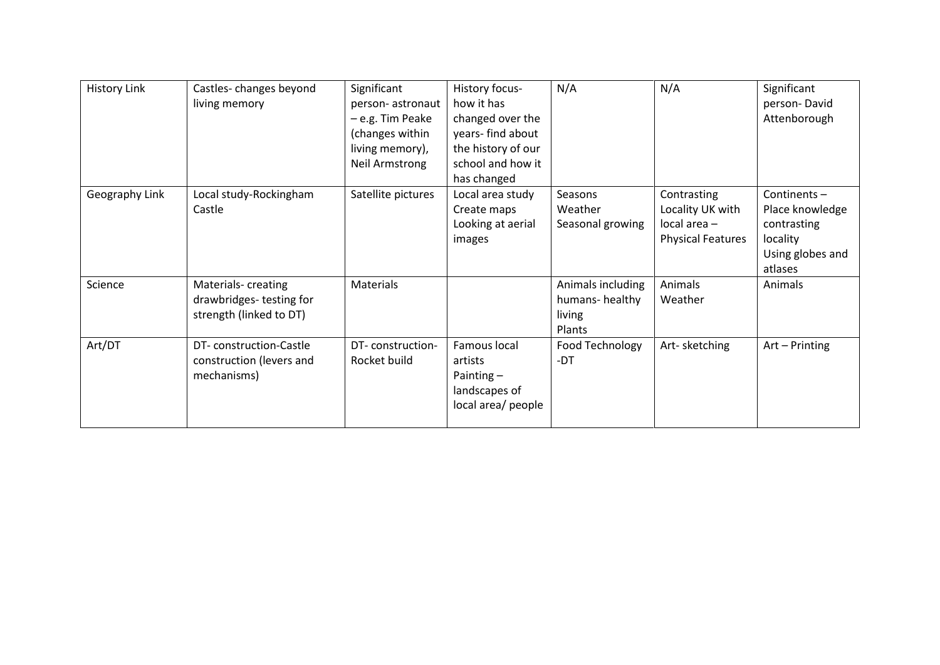| <b>History Link</b> | Castles-changes beyond   | Significant           | History focus-     | N/A               | N/A                      | Significant      |
|---------------------|--------------------------|-----------------------|--------------------|-------------------|--------------------------|------------------|
|                     | living memory            | person-astronaut      | how it has         |                   |                          | person-David     |
|                     |                          | - e.g. Tim Peake      | changed over the   |                   |                          | Attenborough     |
|                     |                          | (changes within       | years- find about  |                   |                          |                  |
|                     |                          | living memory),       | the history of our |                   |                          |                  |
|                     |                          | <b>Neil Armstrong</b> | school and how it  |                   |                          |                  |
|                     |                          |                       | has changed        |                   |                          |                  |
| Geography Link      | Local study-Rockingham   | Satellite pictures    | Local area study   | Seasons           | Contrasting              | Continents $-$   |
|                     | Castle                   |                       | Create maps        | Weather           | Locality UK with         | Place knowledge  |
|                     |                          |                       | Looking at aerial  | Seasonal growing  | $local area -$           | contrasting      |
|                     |                          |                       | images             |                   | <b>Physical Features</b> | locality         |
|                     |                          |                       |                    |                   |                          | Using globes and |
|                     |                          |                       |                    |                   |                          | atlases          |
| Science             | Materials- creating      | Materials             |                    | Animals including | Animals                  | Animals          |
|                     | drawbridges-testing for  |                       |                    | humans-healthy    | Weather                  |                  |
|                     | strength (linked to DT)  |                       |                    | living            |                          |                  |
|                     |                          |                       |                    | Plants            |                          |                  |
| Art/DT              | DT-construction-Castle   | DT-construction-      | Famous local       | Food Technology   | Art-sketching            | Art - Printing   |
|                     | construction (levers and | Rocket build          | artists            | -DT               |                          |                  |
|                     | mechanisms)              |                       | Painting $-$       |                   |                          |                  |
|                     |                          |                       | landscapes of      |                   |                          |                  |
|                     |                          |                       | local area/ people |                   |                          |                  |
|                     |                          |                       |                    |                   |                          |                  |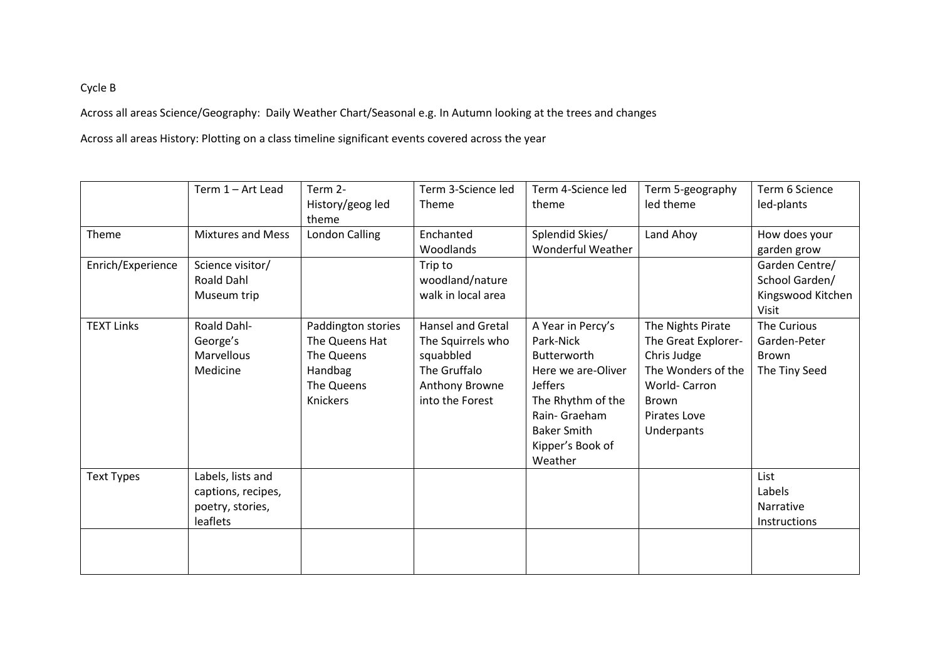## Cycle B

Across all areas Science/Geography: Daily Weather Chart/Seasonal e.g. In Autumn looking at the trees and changes

Across all areas History: Plotting on a class timeline significant events covered across the year

|                   | Term 1 - Art Lead                                                       | Term 2-<br>History/geog led<br>theme                                                    | Term 3-Science led<br><b>Theme</b>                                                                              | Term 4-Science led<br>theme                                                                                                                                                      | Term 5-geography<br>led theme                                                                                                               | Term 6 Science<br>led-plants                                   |
|-------------------|-------------------------------------------------------------------------|-----------------------------------------------------------------------------------------|-----------------------------------------------------------------------------------------------------------------|----------------------------------------------------------------------------------------------------------------------------------------------------------------------------------|---------------------------------------------------------------------------------------------------------------------------------------------|----------------------------------------------------------------|
| Theme             | <b>Mixtures and Mess</b>                                                | <b>London Calling</b>                                                                   | Enchanted<br>Woodlands                                                                                          | Splendid Skies/<br><b>Wonderful Weather</b>                                                                                                                                      | Land Ahoy                                                                                                                                   | How does your<br>garden grow                                   |
| Enrich/Experience | Science visitor/<br><b>Roald Dahl</b><br>Museum trip                    |                                                                                         | Trip to<br>woodland/nature<br>walk in local area                                                                |                                                                                                                                                                                  |                                                                                                                                             | Garden Centre/<br>School Garden/<br>Kingswood Kitchen<br>Visit |
| <b>TEXT Links</b> | Roald Dahl-<br>George's<br>Marvellous<br>Medicine                       | Paddington stories<br>The Queens Hat<br>The Queens<br>Handbag<br>The Queens<br>Knickers | <b>Hansel and Gretal</b><br>The Squirrels who<br>squabbled<br>The Gruffalo<br>Anthony Browne<br>into the Forest | A Year in Percy's<br>Park-Nick<br>Butterworth<br>Here we are-Oliver<br><b>Jeffers</b><br>The Rhythm of the<br>Rain- Graeham<br><b>Baker Smith</b><br>Kipper's Book of<br>Weather | The Nights Pirate<br>The Great Explorer-<br>Chris Judge<br>The Wonders of the<br>World-Carron<br><b>Brown</b><br>Pirates Love<br>Underpants | The Curious<br>Garden-Peter<br><b>Brown</b><br>The Tiny Seed   |
| <b>Text Types</b> | Labels, lists and<br>captions, recipes,<br>poetry, stories,<br>leaflets |                                                                                         |                                                                                                                 |                                                                                                                                                                                  |                                                                                                                                             | List<br>Labels<br>Narrative<br>Instructions                    |
|                   |                                                                         |                                                                                         |                                                                                                                 |                                                                                                                                                                                  |                                                                                                                                             |                                                                |